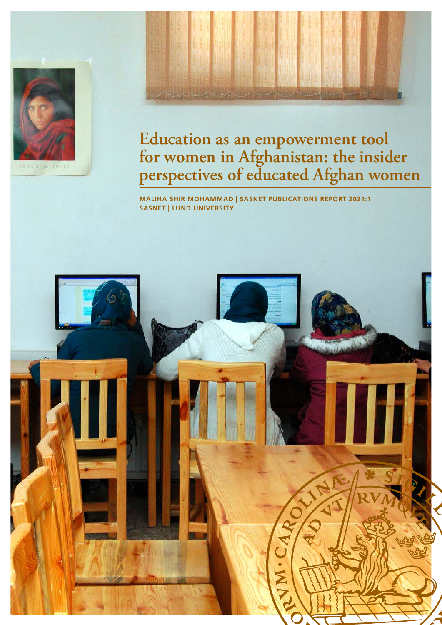



**MALIHA SHIR MOHAMMAD | SASNET PUBLICATIONS REPORT 2021:1 SASNET | LUND UNIVERSITY** 

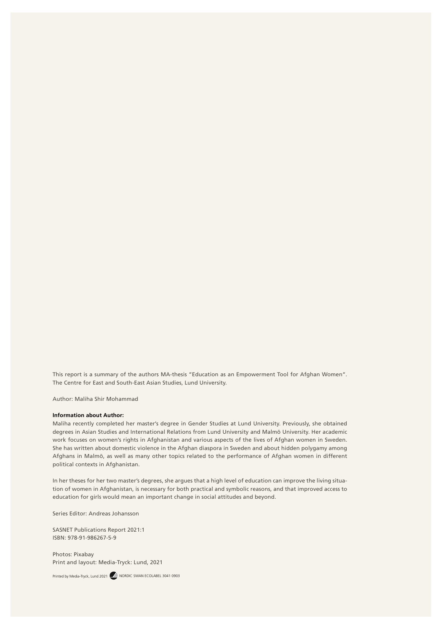This report is a summary of the authors MA-thesis "Education as an Empowerment Tool for Afghan Women". The Centre for East and South-East Asian Studies, Lund University.

Author: Maliha Shir Mohammad

#### **Information about Author:**

Maliha recently completed her master's degree in Gender Studies at Lund University. Previously, she obtained degrees in Asian Studies and International Relations from Lund University and Malmö University. Her academic work focuses on women's rights in Afghanistan and various aspects of the lives of Afghan women in Sweden. She has written about domestic violence in the Afghan diaspora in Sweden and about hidden polygamy among Afghans in Malmö, as well as many other topics related to the performance of Afghan women in different political contexts in Afghanistan.

In her theses for her two master's degrees, she argues that a high level of education can improve the living situation of women in Afghanistan, is necessary for both practical and symbolic reasons, and that improved access to education for girls would mean an important change in social attitudes and beyond.

Series Editor: Andreas Johansson

SASNET Publications Report 2021:1 ISBN: 978-91-986267-5-9

Photos: Pixabay Print and layout: Media-Tryck: Lund, 2021

Printed by Media-Tryck, Lund 2021 WWW NORDIC SWAN ECOLABEL 3041 0903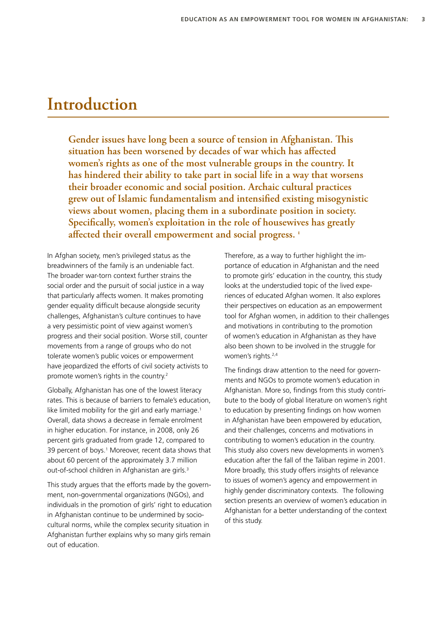# **Introduction**

**Gender issues have long been a source of tension in Afghanistan. This situation has been worsened by decades of war which has affected women's rights as one of the most vulnerable groups in the country. It has hindered their ability to take part in social life in a way that worsens their broader economic and social position. Archaic cultural practices grew out of Islamic fundamentalism and intensified existing misogynistic views about women, placing them in a subordinate position in society. Specifically, women's exploitation in the role of housewives has greatly affected their overall empowerment and social progress. 1**

In Afghan society, men's privileged status as the breadwinners of the family is an undeniable fact. The broader war-torn context further strains the social order and the pursuit of social justice in a way that particularly affects women. It makes promoting gender equality difficult because alongside security challenges, Afghanistan's culture continues to have a very pessimistic point of view against women's progress and their social position. Worse still, counter movements from a range of groups who do not tolerate women's public voices or empowerment have jeopardized the efforts of civil society activists to promote women's rights in the country.2

Globally, Afghanistan has one of the lowest literacy rates. This is because of barriers to female's education, like limited mobility for the girl and early marriage.<sup>1</sup> Overall, data shows a decrease in female enrolment in higher education. For instance, in 2008, only 26 percent girls graduated from grade 12, compared to 39 percent of boys.<sup>1</sup> Moreover, recent data shows that about 60 percent of the approximately 3.7 million out-of-school children in Afghanistan are girls.<sup>3</sup>

This study argues that the efforts made by the government, non-governmental organizations (NGOs), and individuals in the promotion of girls' right to education in Afghanistan continue to be undermined by sociocultural norms, while the complex security situation in Afghanistan further explains why so many girls remain out of education.

Therefore, as a way to further highlight the importance of education in Afghanistan and the need to promote girls' education in the country, this study looks at the understudied topic of the lived experiences of educated Afghan women. It also explores their perspectives on education as an empowerment tool for Afghan women, in addition to their challenges and motivations in contributing to the promotion of women's education in Afghanistan as they have also been shown to be involved in the struggle for women's rights.<sup>2,4</sup>

The findings draw attention to the need for governments and NGOs to promote women's education in Afghanistan. More so, findings from this study contribute to the body of global literature on women's right to education by presenting findings on how women in Afghanistan have been empowered by education, and their challenges, concerns and motivations in contributing to women's education in the country. This study also covers new developments in women's education after the fall of the Taliban regime in 2001. More broadly, this study offers insights of relevance to issues of women's agency and empowerment in highly gender discriminatory contexts. The following section presents an overview of women's education in Afghanistan for a better understanding of the context of this study.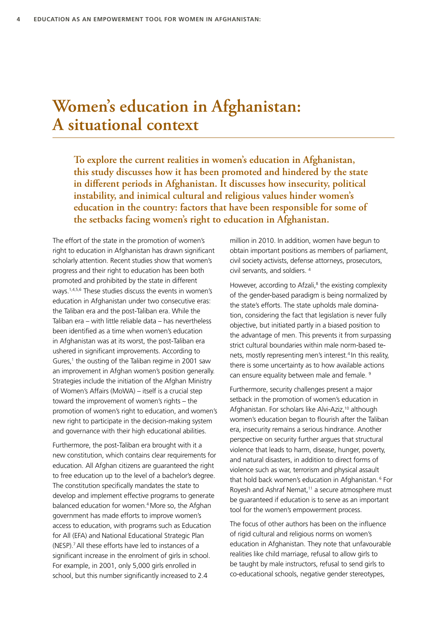# **Women's education in Afghanistan: A situational context**

**To explore the current realities in women's education in Afghanistan, this study discusses how it has been promoted and hindered by the state in different periods in Afghanistan. It discusses how insecurity, political instability, and inimical cultural and religious values hinder women's education in the country: factors that have been responsible for some of the setbacks facing women's right to education in Afghanistan.**

The effort of the state in the promotion of women's right to education in Afghanistan has drawn significant scholarly attention. Recent studies show that women's progress and their right to education has been both promoted and prohibited by the state in different ways.1,4,5,6 These studies discuss the events in women's education in Afghanistan under two consecutive eras: the Taliban era and the post-Taliban era. While the Taliban era – with little reliable data – has nevertheless been identified as a time when women's education in Afghanistan was at its worst, the post-Taliban era ushered in significant improvements. According to Gures,<sup>1</sup> the ousting of the Taliban regime in 2001 saw an improvement in Afghan women's position generally. Strategies include the initiation of the Afghan Ministry of Women's Affairs (MoWA) – itself is a crucial step toward the improvement of women's rights – the promotion of women's right to education, and women's new right to participate in the decision-making system and governance with their high educational abilities.

Furthermore, the post-Taliban era brought with it a new constitution, which contains clear requirements for education. All Afghan citizens are guaranteed the right to free education up to the level of a bachelor's degree. The constitution specifically mandates the state to develop and implement effective programs to generate balanced education for women.<sup>4</sup> More so, the Afghan government has made efforts to improve women's access to education, with programs such as Education for All (EFA) and National Educational Strategic Plan (NESP).7 All these efforts have led to instances of a significant increase in the enrolment of girls in school. For example, in 2001, only 5,000 girls enrolled in school, but this number significantly increased to 2.4

million in 2010. In addition, women have begun to obtain important positions as members of parliament, civil society activists, defense attorneys, prosecutors, civil servants, and soldiers. 4

However, according to Afzali,<sup>8</sup> the existing complexity of the gender-based paradigm is being normalized by the state's efforts. The state upholds male domination, considering the fact that legislation is never fully objective, but initiated partly in a biased position to the advantage of men. This prevents it from surpassing strict cultural boundaries within male norm-based tenets, mostly representing men's interest.<sup>4</sup> In this reality, there is some uncertainty as to how available actions can ensure equality between male and female.<sup>9</sup>

Furthermore, security challenges present a major setback in the promotion of women's education in Afghanistan. For scholars like Alvi-Aziz,<sup>10</sup> although women's education began to flourish after the Taliban era, insecurity remains a serious hindrance. Another perspective on security further argues that structural violence that leads to harm, disease, hunger, poverty, and natural disasters, in addition to direct forms of violence such as war, terrorism and physical assault that hold back women's education in Afghanistan.<sup>6</sup> For Royesh and Ashraf Nemat,<sup>11</sup> a secure atmosphere must be guaranteed if education is to serve as an important tool for the women's empowerment process.

The focus of other authors has been on the influence of rigid cultural and religious norms on women's education in Afghanistan. They note that unfavourable realities like child marriage, refusal to allow girls to be taught by male instructors, refusal to send girls to co-educational schools, negative gender stereotypes,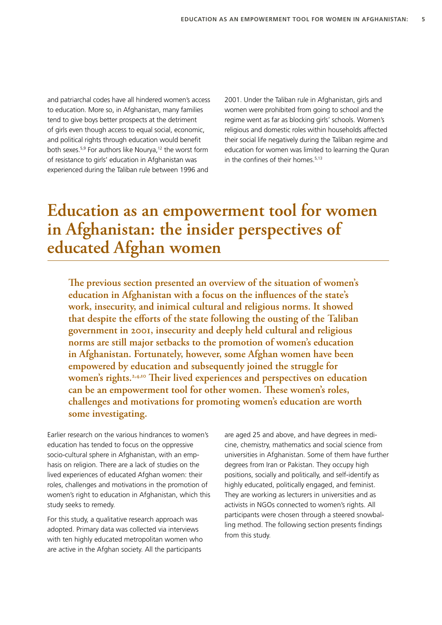and patriarchal codes have all hindered women's access to education. More so, in Afghanistan, many families tend to give boys better prospects at the detriment of girls even though access to equal social, economic, and political rights through education would benefit both sexes.<sup>5,9</sup> For authors like Nourya,<sup>12</sup> the worst form of resistance to girls' education in Afghanistan was experienced during the Taliban rule between 1996 and

2001. Under the Taliban rule in Afghanistan, girls and women were prohibited from going to school and the regime went as far as blocking girls' schools. Women's religious and domestic roles within households affected their social life negatively during the Taliban regime and education for women was limited to learning the Quran in the confines of their homes.<sup>5,13</sup>

# **Education as an empowerment tool for women in Afghanistan: the insider perspectives of educated Afghan women**

**The previous section presented an overview of the situation of women's education in Afghanistan with a focus on the influences of the state's work, insecurity, and inimical cultural and religious norms. It showed that despite the efforts of the state following the ousting of the Taliban government in 2001, insecurity and deeply held cultural and religious norms are still major setbacks to the promotion of women's education in Afghanistan. Fortunately, however, some Afghan women have been empowered by education and subsequently joined the struggle for**  women's rights.<sup>2,4,10</sup> Their lived experiences and perspectives on education **can be an empowerment tool for other women. These women's roles, challenges and motivations for promoting women's education are worth some investigating.**

Earlier research on the various hindrances to women's education has tended to focus on the oppressive socio-cultural sphere in Afghanistan, with an emphasis on religion. There are a lack of studies on the lived experiences of educated Afghan women: their roles, challenges and motivations in the promotion of women's right to education in Afghanistan, which this study seeks to remedy.

For this study, a qualitative research approach was adopted. Primary data was collected via interviews with ten highly educated metropolitan women who are active in the Afghan society. All the participants

are aged 25 and above, and have degrees in medicine, chemistry, mathematics and social science from universities in Afghanistan. Some of them have further degrees from Iran or Pakistan. They occupy high positions, socially and politically, and self-identify as highly educated, politically engaged, and feminist. They are working as lecturers in universities and as activists in NGOs connected to women's rights. All participants were chosen through a steered snowballing method. The following section presents findings from this study.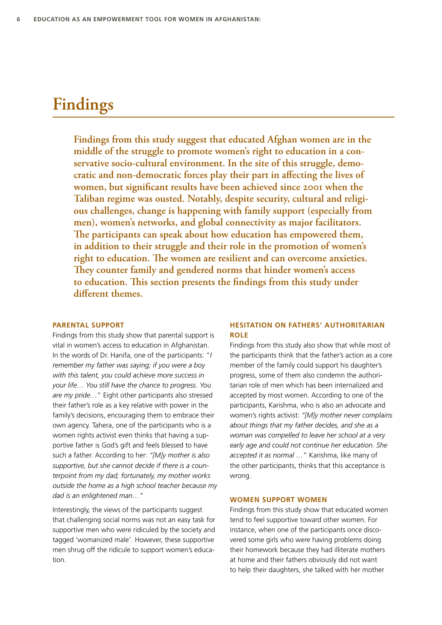# **Findings**

**Findings from this study suggest that educated Afghan women are in the middle of the struggle to promote women's right to education in a conservative socio-cultural environment. In the site of this struggle, democratic and non-democratic forces play their part in affecting the lives of women, but significant results have been achieved since 2001 when the Taliban regime was ousted. Notably, despite security, cultural and religious challenges, change is happening with family support (especially from men), women's networks, and global connectivity as major facilitators. The participants can speak about how education has empowered them, in addition to their struggle and their role in the promotion of women's right to education. The women are resilient and can overcome anxieties. They counter family and gendered norms that hinder women's access to education. This section presents the findings from this study under different themes.**

### **PARENTAL SUPPORT**

Findings from this study show that parental support is vital in women's access to education in Afghanistan. In the words of Dr. Hanifa, one of the participants: "*I remember my father was saying; if you were a boy with this talent, you could achieve more success in your life… You still have the chance to progress. You are my pride…*" Eight other participants also stressed their father's role as a key relative with power in the family's decisions, encouraging them to embrace their own agency. Tahera, one of the participants who is a women rights activist even thinks that having a supportive father is God's gift and feels blessed to have such a father. According to her: *"[M]y mother is also supportive, but she cannot decide if there is a counterpoint from my dad; fortunately, my mother works outside the home as a high school teacher because my dad is an enlightened man…"*

Interestingly, the views of the participants suggest that challenging social norms was not an easy task for supportive men who were ridiculed by the society and tagged 'womanized male'. However, these supportive men shrug off the ridicule to support women's education.

# **HESITATION ON FATHERS' AUTHORITARIAN ROLE**

Findings from this study also show that while most of the participants think that the father's action as a core member of the family could support his daughter's progress, some of them also condemn the authoritarian role of men which has been internalized and accepted by most women. According to one of the participants, Karishma, who is also an advocate and women's rights activist: *"[M]y mother never complains about things that my father decides, and she as a woman was compelled to leave her school at a very early age and could not continue her education. She accepted it as normal …*" Karishma, like many of the other participants, thinks that this acceptance is wrong.

### **WOMEN SUPPORT WOMEN**

Findings from this study show that educated women tend to feel supportive toward other women. For instance, when one of the participants once discovered some girls who were having problems doing their homework because they had illiterate mothers at home and their fathers obviously did not want to help their daughters, she talked with her mother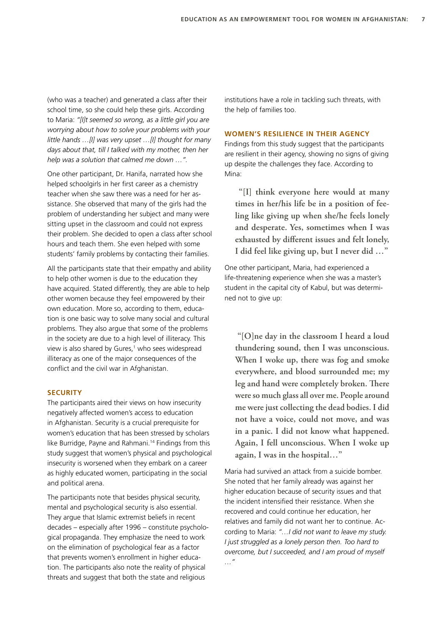(who was a teacher) and generated a class after their school time, so she could help these girls. According to Maria: *"[I]t seemed so wrong, as a little girl you are worrying about how to solve your problems with your little hands …[I] was very upset …[I] thought for many days about that, till I talked with my mother, then her help was a solution that calmed me down …".* 

One other participant, Dr. Hanifa, narrated how she helped schoolgirls in her first career as a chemistry teacher when she saw there was a need for her assistance. She observed that many of the girls had the problem of understanding her subject and many were sitting upset in the classroom and could not express their problem. She decided to open a class after school hours and teach them. She even helped with some students' family problems by contacting their families.

All the participants state that their empathy and ability to help other women is due to the education they have acquired. Stated differently, they are able to help other women because they feel empowered by their own education. More so, according to them, education is one basic way to solve many social and cultural problems. They also argue that some of the problems in the society are due to a high level of illiteracy. This view is also shared by Gures,<sup>1</sup> who sees widespread illiteracy as one of the major consequences of the conflict and the civil war in Afghanistan.

## **SECURITY**

The participants aired their views on how insecurity negatively affected women's access to education in Afghanistan. Security is a crucial prerequisite for women's education that has been stressed by scholars like Burridge, Payne and Rahmani.<sup>14</sup> Findings from this study suggest that women's physical and psychological insecurity is worsened when they embark on a career as highly educated women, participating in the social and political arena.

The participants note that besides physical security, mental and psychological security is also essential. They argue that Islamic extremist beliefs in recent decades – especially after 1996 – constitute psychological propaganda. They emphasize the need to work on the elimination of psychological fear as a factor that prevents women's enrollment in higher education. The participants also note the reality of physical threats and suggest that both the state and religious

institutions have a role in tackling such threats, with the help of families too.

## **WOMEN'S RESILIENCE IN THEIR AGENCY**

Findings from this study suggest that the participants are resilient in their agency, showing no signs of giving up despite the challenges they face. According to Mina:

 **"[I] think everyone here would at many times in her/his life be in a position of feeling like giving up when she/he feels lonely and desperate. Yes, sometimes when I was exhausted by different issues and felt lonely, I did feel like giving up, but I never did …"** 

One other participant, Maria, had experienced a life-threatening experience when she was a master's student in the capital city of Kabul, but was determined not to give up:

 **"[O]ne day in the classroom I heard a loud thundering sound, then I was unconscious. When I woke up, there was fog and smoke everywhere, and blood surrounded me; my leg and hand were completely broken. There were so much glass all over me. People around me were just collecting the dead bodies. I did not have a voice, could not move, and was in a panic. I did not know what happened. Again, I fell unconscious. When I woke up again, I was in the hospital…"**

Maria had survived an attack from a suicide bomber. She noted that her family already was against her higher education because of security issues and that the incident intensified their resistance. When she recovered and could continue her education, her relatives and family did not want her to continue. According to Maria: *"…I did not want to leave my study. I just struggled as a lonely person then. Too hard to overcome, but I succeeded, and I am proud of myself …"*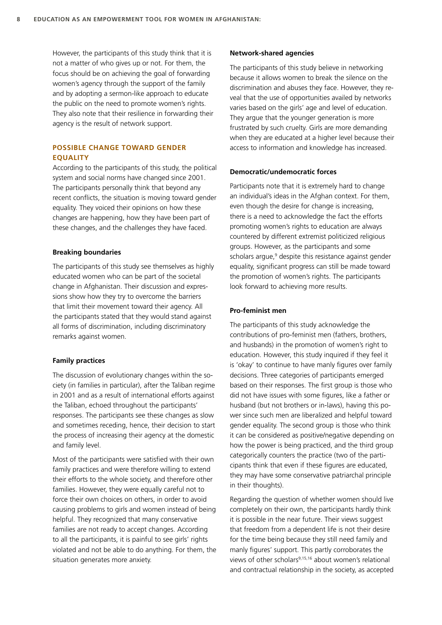However, the participants of this study think that it is not a matter of who gives up or not. For them, the focus should be on achieving the goal of forwarding women's agency through the support of the family and by adopting a sermon-like approach to educate the public on the need to promote women's rights. They also note that their resilience in forwarding their agency is the result of network support.

# **POSSIBLE CHANGE TOWARD GENDER EQUALITY**

According to the participants of this study, the political system and social norms have changed since 2001. The participants personally think that beyond any recent conflicts, the situation is moving toward gender equality. They voiced their opinions on how these changes are happening, how they have been part of these changes, and the challenges they have faced.

#### **Breaking boundaries**

The participants of this study see themselves as highly educated women who can be part of the societal change in Afghanistan. Their discussion and expressions show how they try to overcome the barriers that limit their movement toward their agency. All the participants stated that they would stand against all forms of discrimination, including discriminatory remarks against women.

### **Family practices**

The discussion of evolutionary changes within the society (in families in particular), after the Taliban regime in 2001 and as a result of international efforts against the Taliban, echoed throughout the participants' responses. The participants see these changes as slow and sometimes receding, hence, their decision to start the process of increasing their agency at the domestic and family level.

Most of the participants were satisfied with their own family practices and were therefore willing to extend their efforts to the whole society, and therefore other families. However, they were equally careful not to force their own choices on others, in order to avoid causing problems to girls and women instead of being helpful. They recognized that many conservative families are not ready to accept changes. According to all the participants, it is painful to see girls' rights violated and not be able to do anything. For them, the situation generates more anxiety.

#### **Network-shared agencies**

The participants of this study believe in networking because it allows women to break the silence on the discrimination and abuses they face. However, they reveal that the use of opportunities availed by networks varies based on the girls' age and level of education. They argue that the younger generation is more frustrated by such cruelty. Girls are more demanding when they are educated at a higher level because their access to information and knowledge has increased.

### **Democratic/undemocratic forces**

Participants note that it is extremely hard to change an individual's ideas in the Afghan context. For them, even though the desire for change is increasing, there is a need to acknowledge the fact the efforts promoting women's rights to education are always countered by different extremist politicized religious groups. However, as the participants and some scholars argue,<sup>9</sup> despite this resistance against gender equality, significant progress can still be made toward the promotion of women's rights. The participants look forward to achieving more results.

#### **Pro-feminist men**

The participants of this study acknowledge the contributions of pro-feminist men (fathers, brothers, and husbands) in the promotion of women's right to education. However, this study inquired if they feel it is 'okay' to continue to have manly figures over family decisions. Three categories of participants emerged based on their responses. The first group is those who did not have issues with some figures, like a father or husband (but not brothers or in-laws), having this power since such men are liberalized and helpful toward gender equality. The second group is those who think it can be considered as positive/negative depending on how the power is being practiced, and the third group categorically counters the practice (two of the participants think that even if these figures are educated, they may have some conservative patriarchal principle in their thoughts).

Regarding the question of whether women should live completely on their own, the participants hardly think it is possible in the near future. Their views suggest that freedom from a dependent life is not their desire for the time being because they still need family and manly figures' support. This partly corroborates the views of other scholars<sup>9,15,16</sup> about women's relational and contractual relationship in the society, as accepted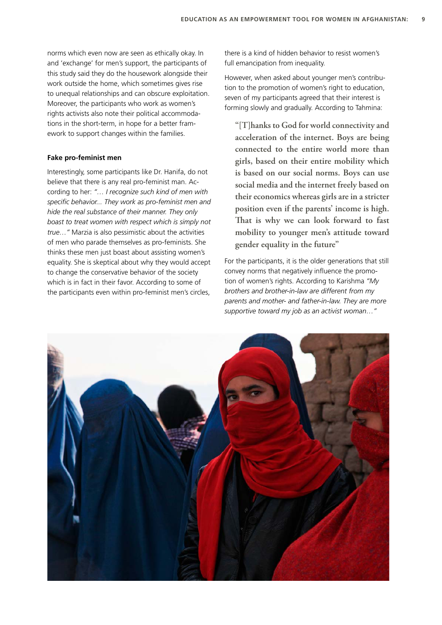norms which even now are seen as ethically okay. In and 'exchange' for men's support, the participants of this study said they do the housework alongside their work outside the home, which sometimes gives rise to unequal relationships and can obscure exploitation. Moreover, the participants who work as women's rights activists also note their political accommodations in the short-term, in hope for a better framework to support changes within the families.

## **Fake pro-feminist men**

Interestingly, some participants like Dr. Hanifa, do not believe that there is any real pro-feminist man. According to her: *"… I recognize such kind of men with specific behavior... They work as pro-feminist men and hide the real substance of their manner. They only boast to treat women with respect which is simply not true…"* Marzia is also pessimistic about the activities of men who parade themselves as pro-feminists. She thinks these men just boast about assisting women's equality. She is skeptical about why they would accept to change the conservative behavior of the society which is in fact in their favor. According to some of the participants even within pro-feminist men's circles,

there is a kind of hidden behavior to resist women's full emancipation from inequality.

However, when asked about younger men's contribution to the promotion of women's right to education, seven of my participants agreed that their interest is forming slowly and gradually. According to Tahmina:

**"[T]hanks to God for world connectivity and acceleration of the internet. Boys are being connected to the entire world more than girls, based on their entire mobility which is based on our social norms. Boys can use social media and the internet freely based on their economics whereas girls are in a stricter position even if the parents' income is high. That is why we can look forward to fast mobility to younger men's attitude toward gender equality in the future"** 

For the participants, it is the older generations that still convey norms that negatively influence the promotion of women's rights. According to Karishma *"My brothers and brother-in-law are different from my parents and mother- and father-in-law. They are more supportive toward my job as an activist woman…"*

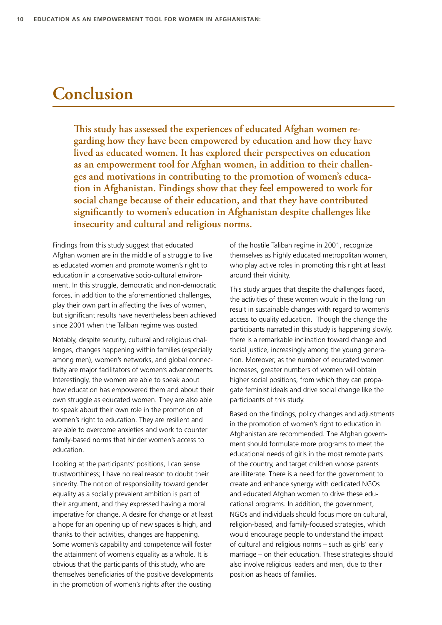# **Conclusion**

**This study has assessed the experiences of educated Afghan women regarding how they have been empowered by education and how they have lived as educated women. It has explored their perspectives on education as an empowerment tool for Afghan women, in addition to their challenges and motivations in contributing to the promotion of women's education in Afghanistan. Findings show that they feel empowered to work for social change because of their education, and that they have contributed significantly to women's education in Afghanistan despite challenges like insecurity and cultural and religious norms.** 

Findings from this study suggest that educated Afghan women are in the middle of a struggle to live as educated women and promote women's right to education in a conservative socio-cultural environment. In this struggle, democratic and non-democratic forces, in addition to the aforementioned challenges, play their own part in affecting the lives of women, but significant results have nevertheless been achieved since 2001 when the Taliban regime was ousted.

Notably, despite security, cultural and religious challenges, changes happening within families (especially among men), women's networks, and global connectivity are major facilitators of women's advancements. Interestingly, the women are able to speak about how education has empowered them and about their own struggle as educated women. They are also able to speak about their own role in the promotion of women's right to education. They are resilient and are able to overcome anxieties and work to counter family-based norms that hinder women's access to education.

Looking at the participants' positions, I can sense trustworthiness; I have no real reason to doubt their sincerity. The notion of responsibility toward gender equality as a socially prevalent ambition is part of their argument, and they expressed having a moral imperative for change. A desire for change or at least a hope for an opening up of new spaces is high, and thanks to their activities, changes are happening. Some women's capability and competence will foster the attainment of women's equality as a whole. It is obvious that the participants of this study, who are themselves beneficiaries of the positive developments in the promotion of women's rights after the ousting

of the hostile Taliban regime in 2001, recognize themselves as highly educated metropolitan women, who play active roles in promoting this right at least around their vicinity.

This study argues that despite the challenges faced, the activities of these women would in the long run result in sustainable changes with regard to women's access to quality education. Though the change the participants narrated in this study is happening slowly, there is a remarkable inclination toward change and social justice, increasingly among the young generation. Moreover, as the number of educated women increases, greater numbers of women will obtain higher social positions, from which they can propagate feminist ideals and drive social change like the participants of this study.

Based on the findings, policy changes and adjustments in the promotion of women's right to education in Afghanistan are recommended. The Afghan government should formulate more programs to meet the educational needs of girls in the most remote parts of the country, and target children whose parents are illiterate. There is a need for the government to create and enhance synergy with dedicated NGOs and educated Afghan women to drive these educational programs. In addition, the government, NGOs and individuals should focus more on cultural, religion-based, and family-focused strategies, which would encourage people to understand the impact of cultural and religious norms – such as girls' early marriage – on their education. These strategies should also involve religious leaders and men, due to their position as heads of families.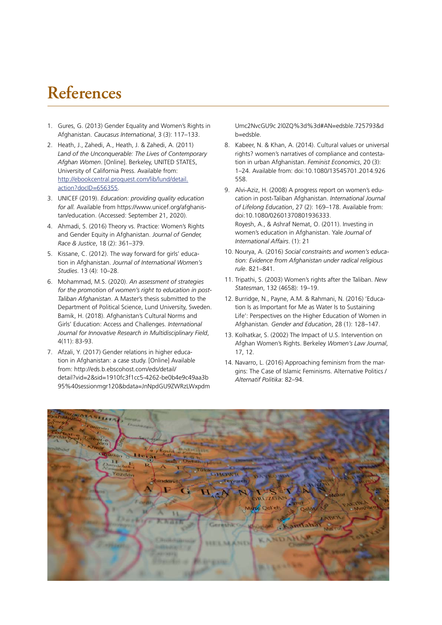# **References**

- 1. Gures, G. (2013) Gender Equality and Women's Rights in Afghanistan. *Caucasus International*, 3 (3): 117–133.
- 2. Heath, J., Zahedi, A., Heath, J. & Zahedi, A. (2011) *Land of the Unconquerable: The Lives of Contemporary Afghan Women*. [Online]. Berkeley, UNITED STATES, University of California Press. Available from: [http://ebookcentral.proquest.com/lib/lund/detail.](http://ebookcentral.proquest.com/lib/lund/detail.action?docID=656355) [action?docID=656355.](http://ebookcentral.proquest.com/lib/lund/detail.action?docID=656355)
- 3. UNICEF (2019). *Education: providing quality education for all.* Available from https://www.unicef.org/afghanistan/education. (Accessed: September 21, 2020).
- 4. Ahmadi, S. (2016) Theory vs. Practice: Women's Rights and Gender Equity in Afghanistan. *Journal of Gender, Race & Justice*, 18 (2): 361–379.
- 5. Kissane, C. (2012). The way forward for girls' education in Afghanistan. *Journal of International Women's Studies*. 13 (4): 10–28.
- 6. Mohammad, M.S. (2020). *An assessment of strategies for the promotion of women's right to education in post-Taliban Afghanistan*. A Master's thesis submitted to the Department of Political Science, Lund University, Sweden. Bamik, H. (2018). Afghanistan's Cultural Norms and Girls' Education: Access and Challenges. *International Journal for Innovative Research in Multidisciplinary Field*, 4(11): 83-93.
- 7. Afzali, Y. (2017) Gender relations in higher education in Afghanistan: a case study. [Online] Available from: http://eds.b.ebscohost.com/eds/detail/ detail?vid=2&sid=1910fc3f1cc5-4262-be0b4e9c49aa3b 95%40sessionmgr120&bdata=JnNpdGU9ZWRzLWxpdm

Umc2NvcGU9c 2l0ZQ%3d%3d#AN=edsble.725793&d b=edsble.

- 8. Kabeer, N. & Khan, A. (2014). Cultural values or universal rights? women's narratives of compliance and contestation in urban Afghanistan. *Feminist Economics*, 20 (3): 1–24. Available from: doi:10.1080/13545701.2014.926 558.
- 9. Alvi‐Aziz, H. (2008) A progress report on women's education in post‐Taliban Afghanistan. *International Journal of Lifelong Education*, 27 (2): 169–178. Available from: doi:10.1080/02601370801936333. Royesh, A., & Ashraf Nemat, O. (2011). Investing in women's education in Afghanistan. Yale *Journal of International Affairs*. (1): 21
- 10. Nourya, A. (2016) *Social constraints and women's education: Evidence from Afghanistan under radical religious rule*. 821–841.
- 11. Tripathi, S. (2003) Women's rights after the Taliban. *New Statesman*, 132 (4658): 19–19.
- 12. Burridge, N., Payne, A.M. & Rahmani, N. (2016) 'Education Is as Important for Me as Water Is to Sustaining Life': Perspectives on the Higher Education of Women in Afghanistan*. Gender and Education*, 28 (1): 128–147.
- 13. Kolhatkar, S. (2002) The Impact of U.S. Intervention on Afghan Women's Rights. Berkeley *Women's Law Journal*, 17, 12.
- 14. Navarro, L. (2016) Approaching feminism from the margins: The Case of Islamic Feminisms. Alternative Politics / *Alternatif Politika*: 82–94.